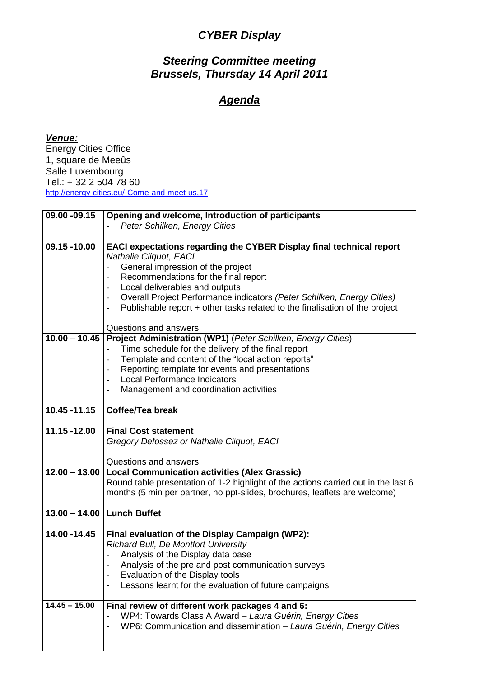## *CYBER Display*

## *Steering Committee meeting Brussels, Thursday 14 April 2011*

## *Agenda*

## *Venue:*

Energy Cities Office 1, square de Meeûs Salle Luxembourg Tel.: + 32 2 504 78 60 <http://energy-cities.eu/-Come-and-meet-us,17>

| $09.00 - 09.15$                 | Opening and welcome, Introduction of participants                                                                                                                                                                                                                                                                                                                                                                                                               |
|---------------------------------|-----------------------------------------------------------------------------------------------------------------------------------------------------------------------------------------------------------------------------------------------------------------------------------------------------------------------------------------------------------------------------------------------------------------------------------------------------------------|
|                                 | Peter Schilken, Energy Cities                                                                                                                                                                                                                                                                                                                                                                                                                                   |
|                                 |                                                                                                                                                                                                                                                                                                                                                                                                                                                                 |
| 09.15 -10.00<br>$10.00 - 10.45$ | EACI expectations regarding the CYBER Display final technical report<br>Nathalie Cliquot, EACI<br>General impression of the project<br>Recommendations for the final report<br>Local deliverables and outputs<br>Overall Project Performance indicators (Peter Schilken, Energy Cities)<br>Publishable report + other tasks related to the finalisation of the project<br>Questions and answers<br>Project Administration (WP1) (Peter Schilken, Energy Cities) |
|                                 | Time schedule for the delivery of the final report<br>Template and content of the "local action reports"<br>Reporting template for events and presentations<br><b>Local Performance Indicators</b><br>Management and coordination activities                                                                                                                                                                                                                    |
| 10.45 - 11.15                   | Coffee/Tea break                                                                                                                                                                                                                                                                                                                                                                                                                                                |
| $11.15 - 12.00$                 | <b>Final Cost statement</b><br>Gregory Defossez or Nathalie Cliquot, EACI<br>Questions and answers                                                                                                                                                                                                                                                                                                                                                              |
| $12.00 - 13.00$                 | <b>Local Communication activities (Alex Grassic)</b><br>Round table presentation of 1-2 highlight of the actions carried out in the last 6<br>months (5 min per partner, no ppt-slides, brochures, leaflets are welcome)                                                                                                                                                                                                                                        |
|                                 | 13.00 - 14.00 Lunch Buffet                                                                                                                                                                                                                                                                                                                                                                                                                                      |
| 14.00 - 14.45                   | Final evaluation of the Display Campaign (WP2):<br>Richard Bull, De Montfort University<br>Analysis of the Display data base<br>Analysis of the pre and post communication surveys<br>Evaluation of the Display tools<br>Lessons learnt for the evaluation of future campaigns                                                                                                                                                                                  |
| $14.45 - 15.00$                 | Final review of different work packages 4 and 6:<br>WP4: Towards Class A Award - Laura Guérin, Energy Cities<br>WP6: Communication and dissemination - Laura Guérin, Energy Cities                                                                                                                                                                                                                                                                              |